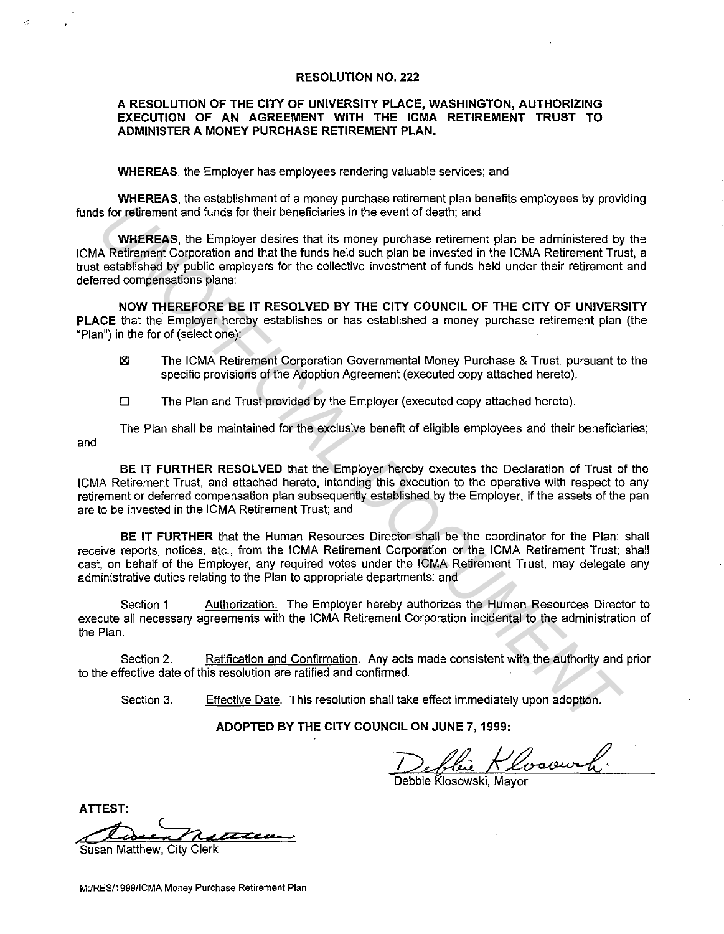#### **RESOLUTION NO. 222**

#### **A RESOLUTION OF THE CITY OF UNIVERSITY PLACE, WASHINGTON, AUTHORIZING EXECUTION OF AN AGREEMENT WITH THE ICMA RETIREMENT TRUST TO ADMINISTER A MONEY PURCHASE RETIREMENT PLAN.**

**WHEREAS,** the Employer has employees rendering valuable services; and

оđ.

**WHEREAS,** the establishment of a money purchase retirement plan benefits employees by providing funds for retirement and funds for their beneficiaries in the event of death; and

**WHEREAS,** the Employer desires that its money purchase retirement plan be administered by the ICMA Retirement Corporation and that the funds held such plan be invested in the ICMA Retirement Trust, a trust established by public employers for the collective investment of funds held under their retirement and deferred compensations plans: **VHEREAS, the Employer destrement and funds for their beneficiaries in the event of death; and<br>
WHEREAS, the Employer destrement has money purchase retirement plan be administered by public employers for the collective inv** 

**NOW THEREFORE BE IT RESOLVED BY THE CITY COUNCIL OF THE CITY OF UNIVERSITY PLACE** that the Employer hereby establishes or has established a money purchase retirement plan (the "Plan") in the for of (select one):

- **181 The ICMA Retirement Corporation Governmental Money Purchase & Trust, pursuant to the** specific provisions of the Adoption Agreement (executed copy attached hereto).
- $\square$  The Plan and Trust provided by the Employer (executed copy attached hereto).

and The Plan shall be maintained for the exclusive benefit of eligible employees and their beneficiaries;

**BE IT FURTHER RESOLVED** that the Employer hereby executes the Declaration of Trust of the ICMA Retirement Trust, and attached hereto, intending this execution to the operative with respect to any retirement or deferred compensation plan subsequently established by the Employer, if the assets of the pan are to be invested in the ICMA Retirement Trust; and

**BE IT FURTHER** that the Human Resources Director shall be the coordinator for the Plan; shall receive reports, notices, etc., from the ICMA Retirement Corporation or the ICMA Retirement Trust; shall cast, on behalf of the Employer, any required votes under the ICMA Retirement Trust; may delegate any administrative duties relating to the Plan to appropriate departments; and

Section 1. Authorization. The Employer hereby authorizes the Human Resources Director to execute all necessary agreements with the ICMA Retirement Corporation incidental to the administration of the Plan.

Section 2. Ratification and Confirmation. Any acts made consistent with the authority and prior to the effective date of this resolution are ratified and confirmed.

Section 3. Effective Date. This resolution shall take effect immediately upon adoption.

**ADOPTED BY THE CITY COUNCIL ON JUNE 7, 1999:** 

lui Klosowik.

ebbie Klosowski, Mayor

**ATIEST:**   $\overline{\mathscr{L}}$ Susan Matthew, City Clerk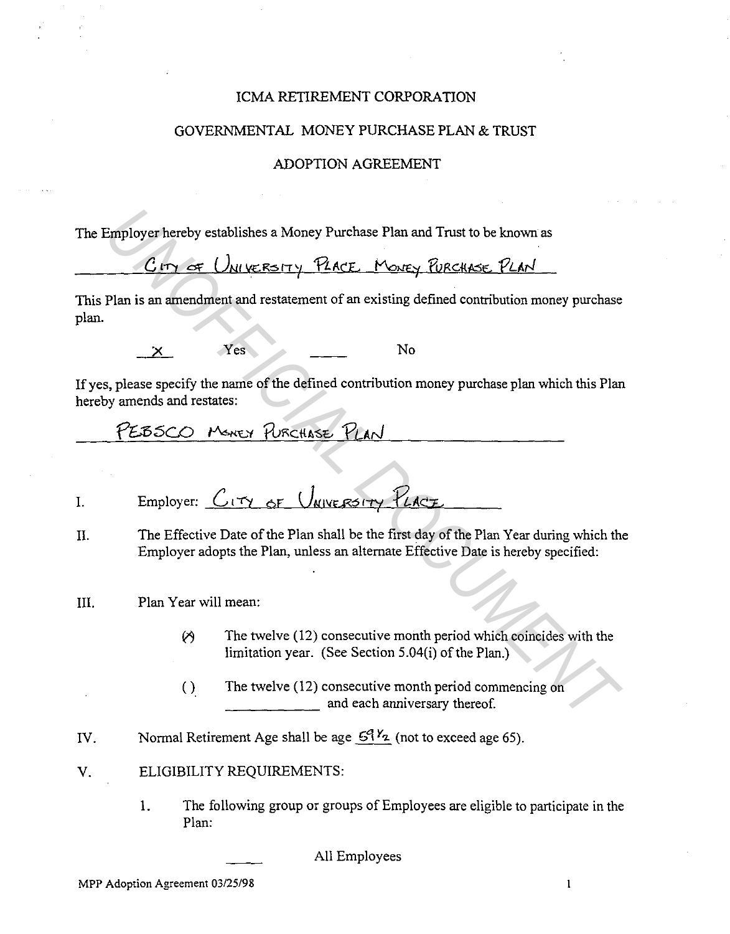#### ICMA RETIREMENT CORPORATION

#### GOVERNMENTAL MONEY PURCHASE PLAN & TRUST

#### ADOPTION AGREEMENT

The Employer hereby establishes a Money Purchase Plan and Trust to be known as

 $G$  *try of UNIVERSITY PLACE* Money PURCHASE PLAN

This Plan is an amendment and restatement of an existing defined contribution money purchase plan. Employer hereby establishes a Money Purchase Plan and Trust to be known as<br>  $C_F \gamma \epsilon_F / U_{NU} \kappa_E \gamma \gamma$  Place<sub>L</sub> (Vo<sub>NEY</sub> FURCHACE, PLAC<br>
Plan is an amendment and restatement of an existing defined contribution money purchase

Yes No

If yes, please specify the name of the defined contribution money purchase plan which this Plan hereby amends and restates:

 $\mathbf{I}$ .

- IL The Effective Date of the Plan shall be the first day of the Plan Year during which the Employer adopts the Plan, unless an alternate Effective Date is hereby specified:
- III. Plan Year will mean:
	- $\varnothing$  The twelve (12) consecutive month period which coincides with the limitation year. (See Section 5.04(i) of the Plan.)
	- ( ) The twelve (12) consecutive month period commencing on **\_\_\_\_\_** and each anniversary thereof.
- IV. Normal Retirement Age shall be age  $5^{9}$ <sup>Y</sup><sub>z</sub> (not to exceed age 65).
- V. ELIGIBILITY REQUIREMENTS:
	- 1. The following group or groups of Employees are eligible to participate in the Plan:

All Employees

 $\mathbf{1}$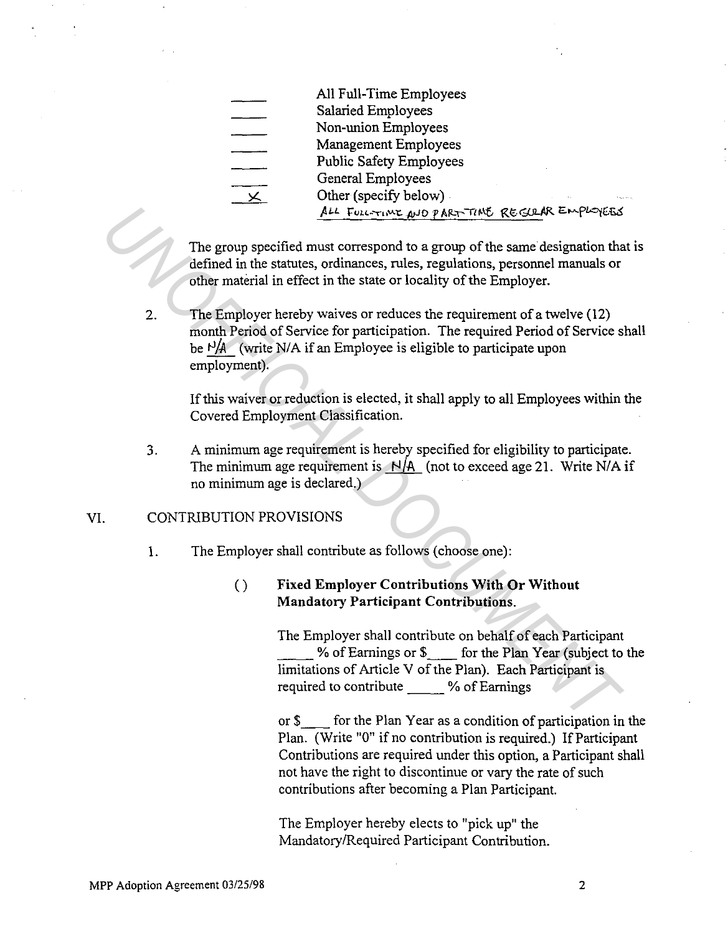All Full-Time Employees Salaried Employees Non-union Employees Management Employees Public Safety Employees General Employees Other (specify below) .  $\overline{\mathbf{X}}$ for FULL-TIME AND PART TIME REGULAR EMPLOYEES

The group specified must correspond to a group of the same designation that is defined in the statutes, ordinances, rules, regulations, personnel manuals or other material in effect in the state or locality of the Employer.

2. The Employer hereby waives or reduces the requirement of a twelve (12) month Period of Service for participation. The required Period of Service shall be  $t^3/4$  (write N/A if an Employee is eligible to participate upon employment). **Example 19**<br> **ALL FUNCTION ARE CONSERVATE CONSERVATE AND PRESS (THET ARE CONSERVATE AND THE CONSERVATE CONSERVATE CONSERVATE CONSERVATE THE EMPLOYER.<br>
2. The Employer hereby waives or reduces the locality of the Employer** 

If this waiver or reduction is elected, it shall apply to all Employees within the Covered Employment Classification.

 $3.$ A minimwn age requirement is hereby specified for eligibility to participate. The minimum age requirement is  $N/A$  (not to exceed age 21. Write N/A if no minimum age is declared.)

#### VI. CONTRIBUTION PROVISIONS

1. The Employer shall contribute as follows (choose one):

## () **Fixed Employer Contributions With Or Without Mandatory Participant Contributions.**

The Employer shall contribute on behalf of each Participant \_\_ %of Earnings or\$ \_\_ for the Plan Year (subject to the limitations of Article V of the Plan). Each Participant is required to contribute % of Earnings

or\$ \_\_ for the Plan Year as a condition of participation in the Plan. (Write "O" if no contribution is required.) If Participant Contributions are required under this option, a Participant shall not have the right to discontinue or vary the rate of such contributions after becoming a Plan Participant.

The Employer hereby elects to "pick up" the Mandatory/Required Participant Contribution.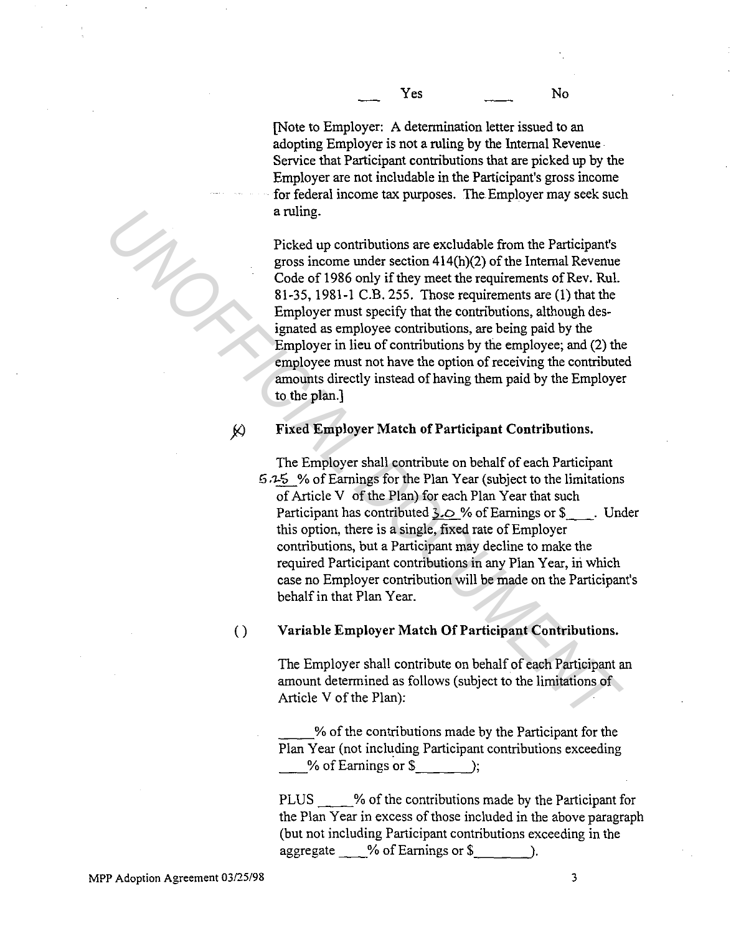[Note to Employer: A determination letter issued to an adopting Employer is not a ruling by the Internal Revenue Service that Participant contributions that are picked up by the Employer are not includable in the Participant's gross income for federal income tax purposes. The. Employer may seek such a ruling.

Picked up contributions are excludable from the Participant's gross income under section 414(h)(2) of the Internal Revenue Code of 1986 only if they meet the requirements of Rev. Rul. 81-35, 1981-1C.B.255. Those requirements are (1) that the Employer must specify that the contributions, although designated as employee contributions, are being paid by the Employer in lieu of contributions by the employee; and (2) the employee must not have the option of receiving the contributed amounts directly instead of having them paid by the Employer to the plan.] **Example 12**<br> **Picked up contributions are excludable from the Participant's<br>
gross income under section 414(h)(2) of the Internal Revenue<br>
Code of 1986 only if they meet the requirements of Rev. Rul.<br>
81-35, 1981-1 C.B.** 

## jl) **Fixed Employer Match of Participant Contributions.**

The Employer shall contribute on behalf of each Participant  $5.15$  % of Earnings for the Plan Year (subject to the limitations of Article V of the Plan) for each Plan Year that such Participant has contributed  $3.0 \%$  of Earnings or \$ . Under this option, there is a single, fixed rate of Employer contributions, but a Participant may decline to make the required Participant contributions in any Plan Year, in which case no Employer contribution will be made on the Participant's behalf in that Plan Year.

## () **Variable Employer Match Of Participant Contributions.**

The Employer shall contribute on behalf of each Participant an amount determined as follows (subject to the limitations of Article V of the Plan):

\_\_ % of the contributions made by the Participant for the Plan Year (not including Participant contributions exceeding % of Earnings or \$  $\qquad$  ;

PLUS % of the contributions made by the Participant for the Plan Year in excess of those included in the above paragraph (but not including Participant contributions exceeding in the aggregate  $\%$  of Earnings or \$  $\qquad$ .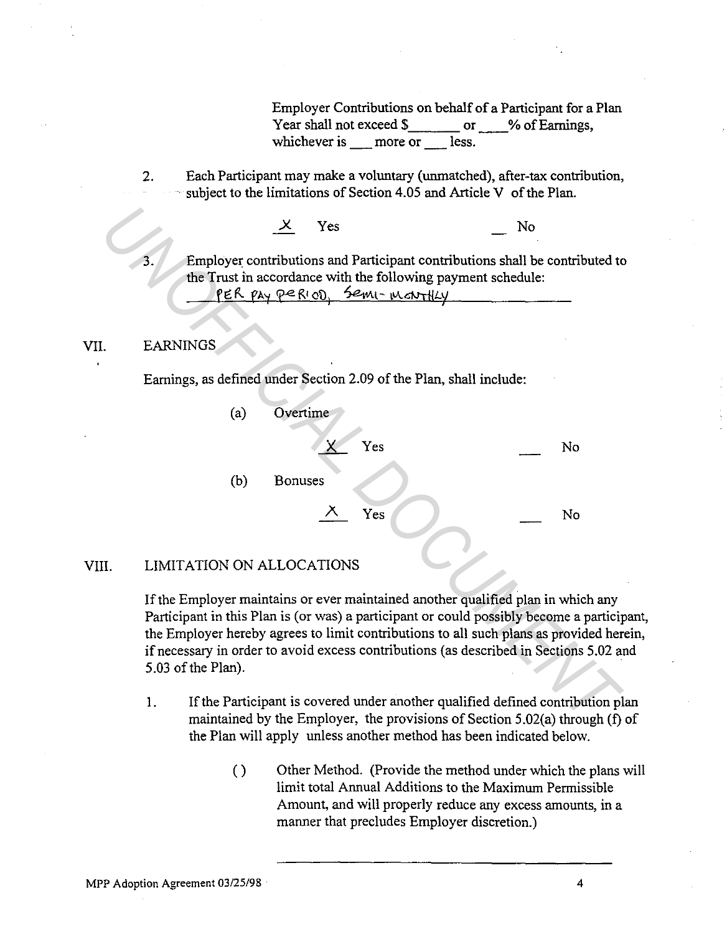Employer Contributions on behalf of a Participant for a Plan Year shall not exceed  $\frac{1}{2}$  or % of Earnings, whichever is more or less.

2. Each Participant may make a voluntary (unmatched), after-tax contribution, subject to the limitations of Section 4.05 and Article V of the Plan.

#### VIL EARNINGS

|     |                                                                                                                                                                                                                                                                                                                                                                                  | ✕                                                                                                                                                                           | Yes            |     | No |    |
|-----|----------------------------------------------------------------------------------------------------------------------------------------------------------------------------------------------------------------------------------------------------------------------------------------------------------------------------------------------------------------------------------|-----------------------------------------------------------------------------------------------------------------------------------------------------------------------------|----------------|-----|----|----|
|     | 3                                                                                                                                                                                                                                                                                                                                                                                | Employer contributions and Participant contributions shall be contributed to<br>the Trust in accordance with the following payment schedule:<br>PER PAY PERIOD, Semi-mantly |                |     |    |    |
|     | <b>EARNINGS</b>                                                                                                                                                                                                                                                                                                                                                                  |                                                                                                                                                                             |                |     |    |    |
|     | Earnings, as defined under Section 2.09 of the Plan, shall include:                                                                                                                                                                                                                                                                                                              |                                                                                                                                                                             |                |     |    |    |
|     |                                                                                                                                                                                                                                                                                                                                                                                  | (a)                                                                                                                                                                         | Overtime       |     |    |    |
|     |                                                                                                                                                                                                                                                                                                                                                                                  |                                                                                                                                                                             |                | Yes |    | No |
|     |                                                                                                                                                                                                                                                                                                                                                                                  | (b)                                                                                                                                                                         | <b>Bonuses</b> |     |    |    |
|     |                                                                                                                                                                                                                                                                                                                                                                                  |                                                                                                                                                                             | ⋌              | Yes |    | No |
| II. | LIMITATION ON ALLOCATIONS                                                                                                                                                                                                                                                                                                                                                        |                                                                                                                                                                             |                |     |    |    |
|     | If the Employer maintains or ever maintained another qualified plan in which any<br>Participant in this Plan is (or was) a participant or could possibly become a particip<br>the Employer hereby agrees to limit contributions to all such plans as provided her<br>if necessary in order to avoid excess contributions (as described in Sections 5.02 as<br>5.03 of the Plan). |                                                                                                                                                                             |                |     |    |    |
|     | 1.                                                                                                                                                                                                                                                                                                                                                                               | If the Participant is covered under another qualified defined contribution pl<br>maintained by the Employer, the provisions of Section $5.02(a)$ through (f)                |                |     |    |    |

#### VIII. LIMITATION ON ALLOCATIONS

If the Employer maintains or ever maintained another qualified plan in which any Participant in this Plan is (or was) a participant or could possibly become a participant, the Employer hereby agrees to limit contributions to all such plans as provided herein, if necessary in order to avoid excess contributions (as described in Sections 5.02 and 5.03 of the Plan).

- 1. If the Participant is covered under another qualified defined contribution plan maintained by the Employer, the provisions of Section 5.02(a) through (f) of the Plan will apply unless another method has been indicated below.
	- ( ) Other Method. (Provide the method under which the plans will limit total Annual Additions to the Maximum Permissible Amount, and will properly reduce any excess amounts, in a manner that precludes Employer discretion.)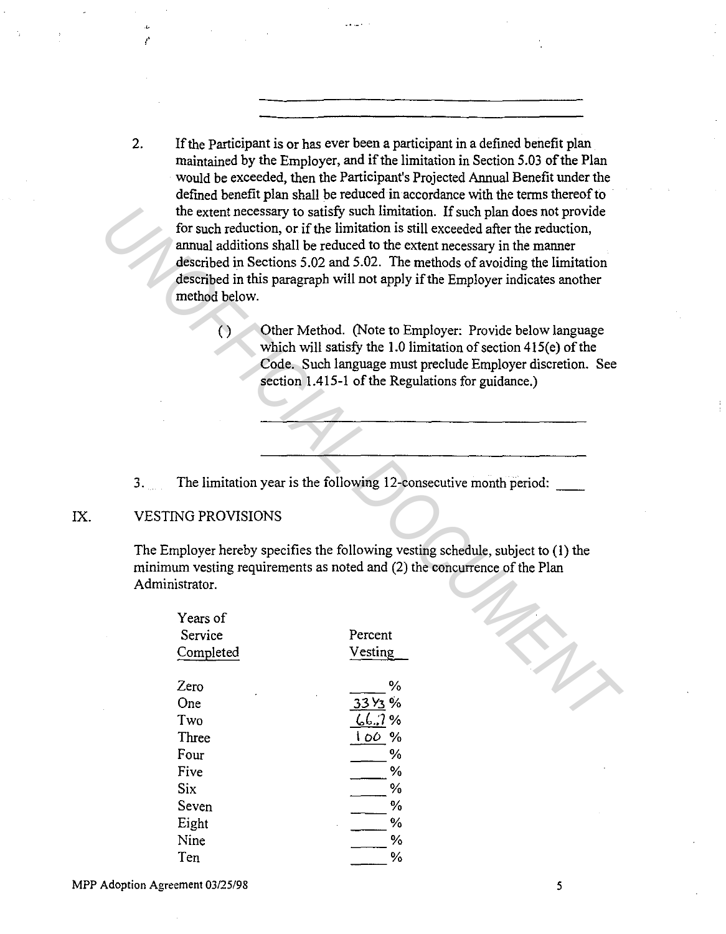- 2. If the Participant is or has ever been a participant in a defined benefit plan maintained by the Employer, and if the limitation in Section 5.03 of the Plan would be exceeded, then the Participant's Projected Annual Benefit under the defined benefit plan shall be reduced in accordance with the terms thereof to the extent necessary to satisfy such limitation. If such plan does not provide for such reduction, or if the limitation is still exceeded after the reduction, annual additions shall be reduced to the extent necessary in the manner described in Sections 5.02 and 5.02. The methods of avoiding the limitation described in this paragraph will not apply if the Employer indicates another method below. the extent necessary to stristly such limitation. If such plan does not provide<br>for such reduction, or if the limitation is still exceeded after the reduction<br>annual additions shall be reducted to the extent necessary in t
	- ( ) Other Method. (Note to Employer: Provide below language which will satisfy the  $1.0$  limitation of section  $415(e)$  of the Code. Such language must preclude Employer discretion. See section 1.415-1 of the Regulations for guidance.)
	- 3. The limitation year is the following 12-consecutive month period: \_\_

### IX. VESTING PROVISIONS

/'

The Employer hereby specifies the following vesting schedule, subject to (I) the minimum vesting requirements as noted and (2) the concurrence of the Plan Administrator.

| Years of  |                     |
|-----------|---------------------|
| Service   | Percent             |
| Completed | Vesting             |
| Zero      | $\frac{0}{6}$       |
| One       | 33 Y <sub>3</sub> % |
| Two       | 667%                |
| Three     | 100<br>%            |
| Four      | %                   |
| Five      | %                   |
| Six       | %                   |
| Seven     | $\%$                |
| Eight     | $\frac{0}{2}$       |
| Nine      | %                   |
| Ten       | %                   |

*5*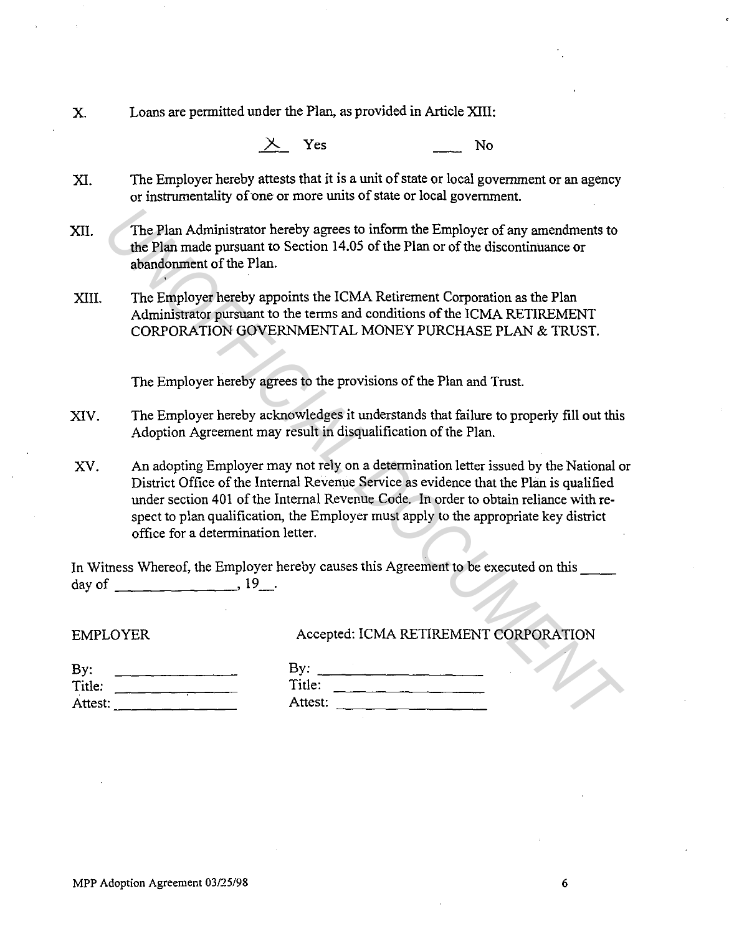X. Loans are permitted under the Plan, as provided in Article XIII:

*J.-.* Yes No

- XI. The Employer hereby attests that it is a unit of state or local government or an agency or instrumentality of one or more units of state or local government.
- XII. The Plan Administrator hereby agrees to inform the Employer of any amendments to the Plan made pursuant to Section 14.05 of the Plan or of the discontinuance or abandonment of the Plan.
- XIII. The Employer hereby appoints the ICMA Retirement Corporation as the Plan Administrator pursuant to the terms and conditions of the ICMA RETIREMENT CORPORATION GOVERNMENTAL MONEY PURCHASE PLAN & TRUST.

The Employer hereby agrees to the provisions of the Plan and Trust.

XIV. The Employer hereby acknowledges it understands that failure to properly fill out this Adoption Agreement may result in disqualification of the Plan.

XV. An adopting Employer may not rely on a determination letter issued by the National or District Office of the Internal Revenue Service as evidence that the Plan is qualified under section 401 of the Internal Revenue Code. In order to obtain reliance with respect to plan qualification, the Employer must apply to the appropriate key district office for a determination letter. The Plan Administrator hereby agrees to inform the Employer of any amendments to<br>
the Plan made pursuant to Section 14.05 of the Plan or of the discontinuance or<br>
abandonment of the Plan.<br>
The Employer hereby appoints the

In Witness Whereof, the Employer hereby causes this Agreement to be executed on this day of  $19_{...}$ , 19.

EMPLOYER

### Accepted: ICMA RETIREMENT CORPORATION

| By:     |  |  |  |  |
|---------|--|--|--|--|
| Title:  |  |  |  |  |
| Attest: |  |  |  |  |
|         |  |  |  |  |

| By:     |  |  |
|---------|--|--|
| Title:  |  |  |
|         |  |  |
| Attest: |  |  |

6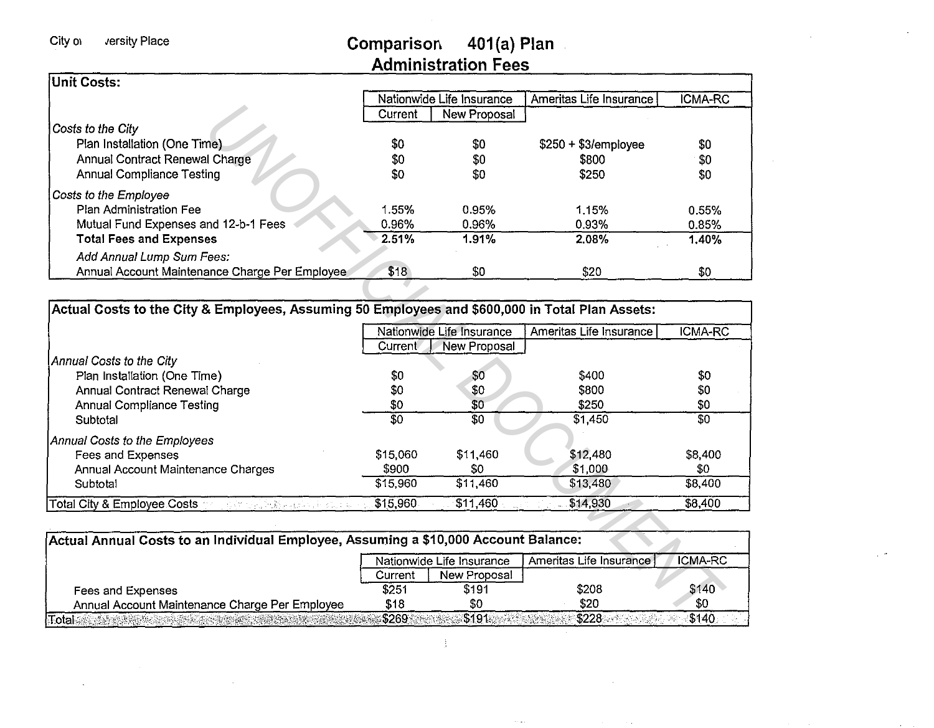Comparison 401(a) Plan Administration Fees

 $\sim$ 

| Unit Costs:                                                                 |         |                           |                         |         |
|-----------------------------------------------------------------------------|---------|---------------------------|-------------------------|---------|
|                                                                             |         | Nationwide Life Insurance | Ameritas Life Insurance | ICMA-RC |
|                                                                             | Current | New Proposal              |                         |         |
| Costs to the City                                                           |         |                           |                         |         |
| Plan Installation (One Time)                                                | \$0     | \$0                       | $$250 + $3/$ employee   | \$0     |
| Annual Contract Renewal Charge                                              | \$0     | \$0                       | \$800                   | \$0     |
| <b>Annual Compliance Testing</b>                                            | \$0     | \$0                       | \$250                   | \$0     |
| Costs to the Employee                                                       |         |                           |                         |         |
| Plan Administration Fee                                                     | 1.55%   | 0.95%                     | 1.15%                   | 0.55%   |
| Mutual Fund Expenses and 12-b-1 Fees                                        | 0.96%   | 0.96%                     | 0.93%                   | 0.85%   |
| <b>Total Fees and Expenses</b>                                              | 2.51%   | 1.91%                     | 2.08%                   | 1.40%   |
| Add Annual Lump Sum Fees:<br>Annual Account Maintenance Charge Per Employee | \$18    | \$0                       | \$20                    | \$0     |

|                                                                                                                            | Current          | <b>New Proposal</b>       |                         |                 |
|----------------------------------------------------------------------------------------------------------------------------|------------------|---------------------------|-------------------------|-----------------|
| Costs to the City                                                                                                          |                  |                           |                         |                 |
| Plan Installation (One Time)                                                                                               | \$0              | \$0                       | $$250 + $3/$ employee   | \$0             |
| Annual Contract Renewal Charge                                                                                             | \$0              | \$0                       | \$800                   | \$0             |
| <b>Annual Compliance Testing</b>                                                                                           | \$0              | \$0                       | \$250                   | \$0             |
| Costs to the Employee                                                                                                      |                  |                           |                         |                 |
| Plan Administration Fee                                                                                                    | 1.55%            | 0.95%                     | 1.15%                   | 0.55%           |
| Mutual Fund Expenses and 12-b-1 Fees                                                                                       | 0.96%            | 0.96%                     | 0.93%                   | 0.85%           |
| <b>Total Fees and Expenses</b>                                                                                             | 2.51%            | 1.91%                     | 2,08%                   | 1.40%           |
| Add Annual Lump Sum Fees:                                                                                                  |                  |                           |                         |                 |
| Annual Account Maintenance Charge Per Employee                                                                             | \$18             | \$0                       | \$20                    | \$0             |
|                                                                                                                            |                  |                           |                         |                 |
| Actual Costs to the City & Employees, Assuming 50 Employees and \$600,000 in Total Plan Assets:                            |                  |                           |                         |                 |
|                                                                                                                            |                  | Nationwide Life Insurance | Ameritas Life Insurance | <b>ICMA-RC</b>  |
|                                                                                                                            | Current          | New Proposal              |                         |                 |
| Annual Costs to the City                                                                                                   |                  |                           |                         |                 |
| Plan Installation (One Time)                                                                                               | \$0              | \$0                       | \$400                   | \$0             |
| Annual Contract Renewal Charge                                                                                             | \$0              | \$0                       | \$800                   | \$0             |
| <b>Annual Compliance Testing</b>                                                                                           | \$0              | \$0                       | \$250                   | \$0             |
| Subtotal                                                                                                                   | $\overline{\$0}$ | $\overline{30}$           | \$1,450                 | $\overline{30}$ |
| Annual Costs to the Employees                                                                                              |                  |                           |                         |                 |
| Fees and Expenses                                                                                                          | \$15,060         | \$11,460                  | \$12,480                | \$8,400         |
| Annual Account Maintenance Charges                                                                                         | \$900            | \$0                       | \$1,000                 | \$0             |
| Subtotal                                                                                                                   | \$15,960         | \$11,460                  | \$13,480                | $\sqrt{$8,400}$ |
| <b>Total City &amp; Employee Costs</b><br>the lift of the spirits of the film and p                                        | \$15,960         | \$11,460                  | \$14,930                | \$8,400         |
|                                                                                                                            |                  |                           |                         |                 |
| Actual Annual Costs to an Individual Employee, Assuming a \$10,000 Account Balance:                                        |                  |                           |                         |                 |
|                                                                                                                            |                  | Nationwide Life Insurance | Ameritas Life Insurance | ICMA-RC         |
|                                                                                                                            | Current          | New Proposal              |                         |                 |
| Fees and Expenses                                                                                                          | \$251            | \$191                     | \$208                   | \$140           |
| Annual Account Maintenance Charge Per Employee                                                                             | \$18             | \$0                       | \$20                    | \$0             |
| $\text{Total}$ . As a support of the contract of $\mathcal{C}$ , and $\mathcal{C}$ , and $\mathcal{C}$ , and $\mathcal{C}$ | \$269 2009       | \$191.                    | \$228                   | \$140           |

|                                                |         | Nationwide Life Insurance | Ameritas Life Insurance | ICMA-RC |
|------------------------------------------------|---------|---------------------------|-------------------------|---------|
|                                                | Current | New Proposal              |                         |         |
| Fees and Expenses                              | \$251   | \$191                     | \$208                   | \$140   |
| Annual Account Maintenance Charge Per Employee | \$18    | \$0                       | \$20                    | \$0     |

 $\frac{1}{2}$ 

 $\sim$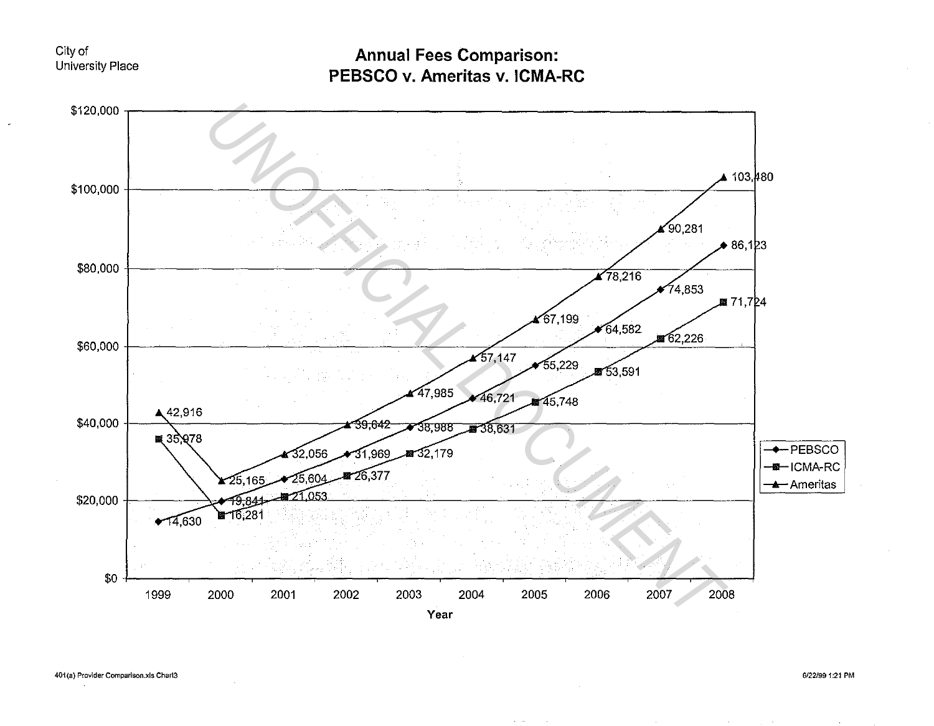#### City of University Place

Annual Fees Comparison: PEBSCO v. Ameritas v. ICMA-RC

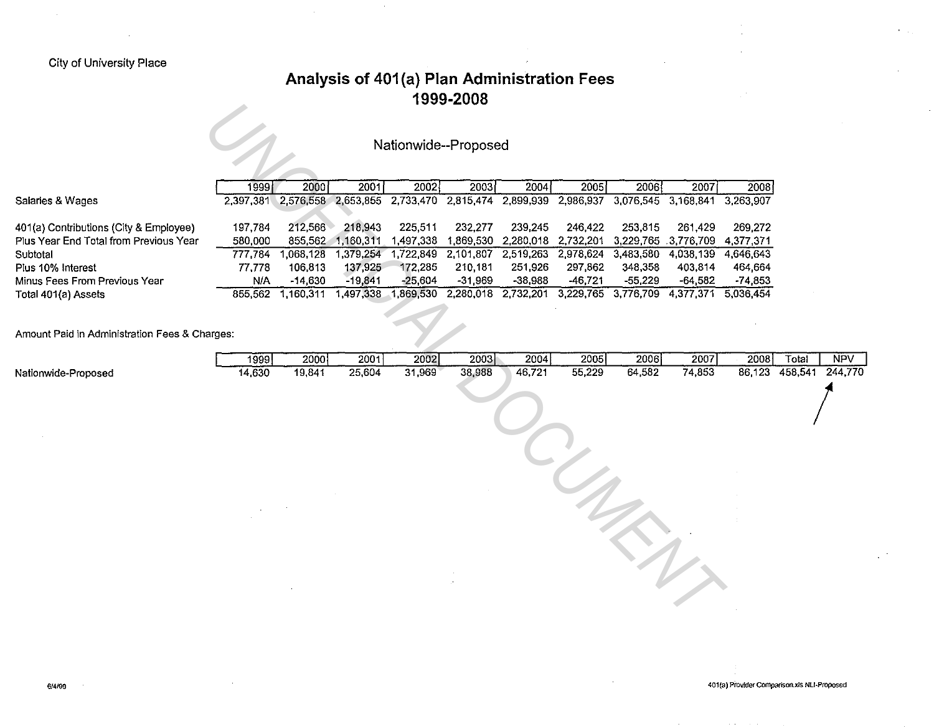### City of University Place

## **Analysis of 401 (a) Plan Administration Fees 1999-2008**

# Nationwide--Proposed

|                                        | 1999 l    | 2000 l    | 2001      | 2002      | 2003      | 2004                | 2005 l    | 2006                | 2007                | 2008      |
|----------------------------------------|-----------|-----------|-----------|-----------|-----------|---------------------|-----------|---------------------|---------------------|-----------|
| Salaries & Wages                       | 2,397,381 | 2.576.558 | 2.653.855 | 2.733.470 | 2,815,474 | 2,899,939           | 2,986,937 | 3,076,545 3,168,841 |                     | 3.263.907 |
|                                        |           |           |           |           |           |                     |           |                     |                     |           |
| 401(a) Contributions (City & Employee) | 197.784   | 212.566   | 218.943   | 225.511   | 232.277   | 239.245             | 246.422   | 253,815             | 261.429             | 269.272   |
| Plus Year End Total from Previous Year | 580,000   | 855.562   | 1.160.311 | .497.338  | 1.869.530 | 2.280.018 2.732.201 |           |                     | 3,229,765 3,776,709 | 4.377.371 |
| Subtotal                               | 777.784   | .068.128  | .379.254  | 722.849   | 2.101.807 | 2,519,263           | 2,978,624 | 3,483,580           | 4.038.139           | 4.646.643 |
| Plus 10% Interest                      | 77.778    | 106,813   | 137,925   | 172.285   | 210,181   | 251,926             | 297,862   | 348.358             | 403.814             | 464.664   |
| Minus Fees From Previous Year          | N/A       | $-14,630$ | $-19.841$ | -25.604   | $-31.969$ | $-38.988$           | $-46.721$ | $-55.229$           | $-64.582$           | $-74.853$ |
| Total 401(a) Assets                    | 855.562   | .160.311  | .497.338  | 1.869.530 | 2,280,018 | 2.732.201           | 3.229,765 | 3,776,709           | 4.377.371           | 5.036.454 |

|                                                                                                                              |                |                |                     |                | 1999-4000            |                |                               |                     |                |           |                         |                       |  |
|------------------------------------------------------------------------------------------------------------------------------|----------------|----------------|---------------------|----------------|----------------------|----------------|-------------------------------|---------------------|----------------|-----------|-------------------------|-----------------------|--|
|                                                                                                                              |                |                |                     |                | Nationwide--Proposed |                |                               |                     |                |           |                         |                       |  |
|                                                                                                                              | 1999           | 2000           | 2001                | 2002           | 2003                 | 2004           | $\overline{2005}$             | 2006                | 2007           | 2008      |                         |                       |  |
| Salaries & Wages                                                                                                             | 2,397,381      |                | 2,576,558 2,653,855 |                | 2,733,470 2,815,474  | 2,899,939      | 2,986,937                     | 3,076,545 3,168,841 |                | 3,263,907 |                         |                       |  |
| 401(a) Contributions (City & Employee)                                                                                       | 197,784        | 212,566        | 218,943             | 225,511        | 232,277              | 239,245        | 246,422                       | 253,815             | 261,429        | 269,272   |                         |                       |  |
| Plus Year End Total from Previous Year                                                                                       | 580,000        | 855,562        | 1,160,311           | 1,497,338      | 1,869,530            |                | 2,280,018 2,732,201           | 3,229,765 3,776,709 |                | 4,377,371 |                         |                       |  |
| Subtotal                                                                                                                     | 777,784        | 1,068,128      | 1,379,254           | 1,722,849      |                      |                | 2,101,807 2,519,263 2,978,624 | 3,483,580           | 4,038,139      | 4,646,643 |                         |                       |  |
| Plus 10% Interest                                                                                                            | 77,778         | 106,813        | 137,925             | 172,285        | 210,181              | 251,926        | 297,862                       | 348,358             | 403,814        | 464 664   |                         |                       |  |
| Minus Fees From Previous Year                                                                                                | N/A            | $-14,630$      | $-19,841$           | $-25,604$      | $-31,969$            | $-38,988$      | $-46,721$                     | $-55,229$           | $-64,582$      | $-74,853$ |                         |                       |  |
| Total 401(a) Assets                                                                                                          | 855,562        | 1,160,311      |                     |                | 2,280,018            |                |                               |                     |                |           |                         |                       |  |
| 2,732,201 3,229,765 3,776,709<br>4,377,371 5,036,454<br>1,497,338 1,869,530<br>Amount Paid in Administration Fees & Charges: |                |                |                     |                |                      |                |                               |                     |                |           |                         |                       |  |
| Nationwide-Proposed                                                                                                          | 1999<br>14,630 | 2000<br>19,841 | 2001<br>25,604      | 2002<br>31,969 | 2003<br>38,988       | 2004<br>46,721 | 2005<br>55,229                | 2006<br>64,582      | 2007<br>74,853 | 2008      | Total<br>86,123 458,541 | <b>NPV</b><br>244,770 |  |
|                                                                                                                              |                |                |                     |                |                      |                |                               |                     |                |           |                         |                       |  |
|                                                                                                                              |                |                |                     |                |                      |                |                               |                     |                |           |                         |                       |  |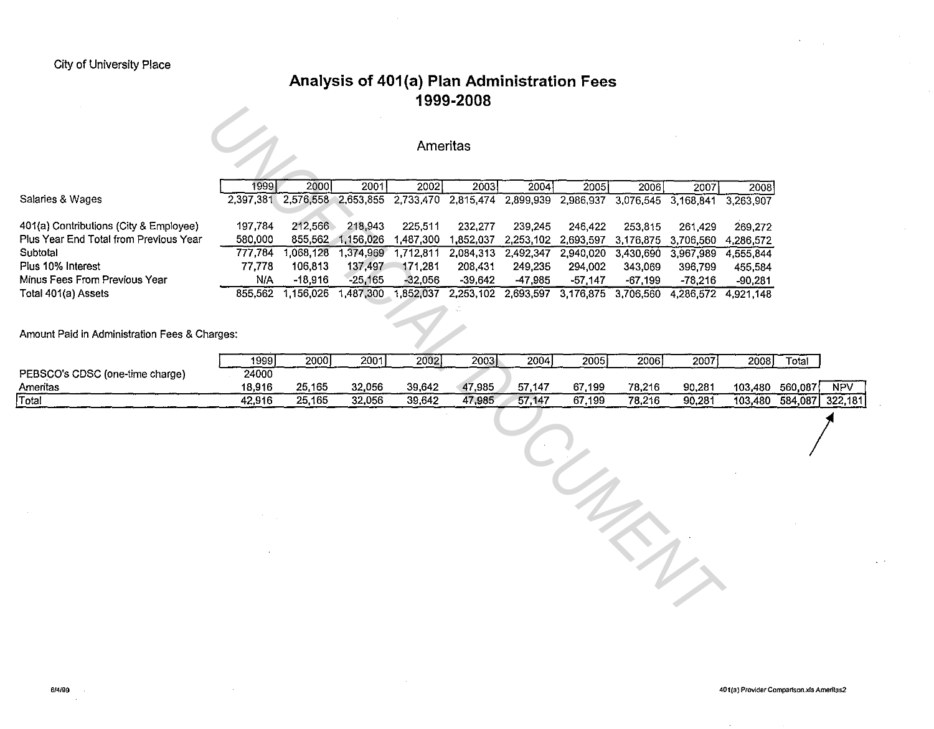## **Analysis of 401 (a) Plan Administration Fees 1999-2008**

#### Ameritas

|                                                    |                   |                      |                      | Ameritas             |                      |                                                                                           |                     |                      |                      |                      |
|----------------------------------------------------|-------------------|----------------------|----------------------|----------------------|----------------------|-------------------------------------------------------------------------------------------|---------------------|----------------------|----------------------|----------------------|
|                                                    | 1999              | 2000                 | 2001                 | 2002                 | 2003                 | 2004                                                                                      | 2005                | 2006                 | 2007                 | 2008                 |
| Salaries & Wages                                   |                   |                      |                      |                      |                      | 2,397,381 2,576,558 2,653,855 2,733,470 2,815,474 2,899,939 2,986,937 3,076,545 3,168,841 |                     |                      |                      | 3,263,907            |
|                                                    |                   |                      |                      |                      |                      |                                                                                           |                     |                      |                      |                      |
| 401(a) Contributions (City & Employee)             | 197,784           | 212,566              | 218,943              | 225,511              | 232,277              | 239,245                                                                                   | 246,422             | 253,815              | 261,429              | 269,272              |
| Plus Year End Total from Previous Year<br>Subtotal | 580,000           | 855,562              | 1,156,026            | 1,487,300            | 1,852,037            |                                                                                           | 2,253,102 2,693,597 | 3,176,875 3,706,560  |                      | 4,286,572            |
| Plus 10% Interest                                  | 777,784<br>77,778 | 1,068,128<br>106,813 | 1,374,969<br>137,497 | 1,712,811<br>171,281 | 2,084,313<br>208,431 | 2,492,347 2,940,020<br>249,235                                                            | 294,002             | 3,430,690 3,967,989  |                      | 4,555,844            |
| Minus Fees From Previous Year                      | N/A               | $-18,916$            | $-25,165$            | $-32,056$            | $-39,642$            | $-47,985$                                                                                 | $-57,147$           | 343,069<br>$-67,199$ | 396,799<br>$-78,216$ | 455,584<br>$-90,281$ |
| Total 401(a) Assets                                |                   | 855,562 1,156,026    |                      | 1,487,300 1,852,037  |                      | 2,253,102 2,693,597 3,176,875 3,706,560 4,286,572 4,921,148                               |                     |                      |                      |                      |
|                                                    |                   |                      |                      |                      |                      |                                                                                           |                     |                      |                      |                      |
| Amount Paid in Administration Fees & Charges:      |                   |                      |                      |                      |                      |                                                                                           |                     |                      |                      |                      |
|                                                    | 1999              | 2000]                | 2001                 | 2002                 | 2003                 | 2004                                                                                      | 2005                | 2006                 | 2007                 | 2008                 |
| PEBSCO's CDSC (one-time charge)                    | 24000             |                      |                      |                      |                      |                                                                                           |                     |                      |                      |                      |
| Ameritas                                           | 18,916            | 25,165               | 32,056               | 39,642               | 47,985               | 57,147                                                                                    | 67,199              | 78,216               | 90,281               | 103,480              |
| Total                                              | 42,916            | 25,165               | 32,056               | 39,642               | 47,985               | 57,147                                                                                    | 67,199              | 78,216               | 90,281               | 103,480              |
|                                                    |                   |                      |                      |                      |                      |                                                                                           | $\eta_{\rho}$       | $\lambda$            |                      |                      |
|                                                    |                   |                      |                      |                      |                      |                                                                                           |                     |                      |                      |                      |

|                                 | 1999)  | 2000   | 2001   | 2002   | 2003   | 2004   | 20051  | 2006)  | 2007   | 2008    | Total    |            |
|---------------------------------|--------|--------|--------|--------|--------|--------|--------|--------|--------|---------|----------|------------|
| PEBSCO's CDSC (one-time charge) | 24000  |        |        |        |        |        |        |        |        |         |          |            |
| Ameritas                        | 18.916 | 25.165 | 32.056 | 39.642 | 47,985 | 57.147 | 67.199 | 78.216 | 90.281 | 103.480 | 560.087  | <b>NPV</b> |
| <b>Total</b>                    | 42,916 | 25.165 | 32,056 | 39.642 | 47,985 | 57,147 | 67.199 | 78,216 | 90.281 | 103.480 | 584.0871 | 322.181    |

 $\sum$